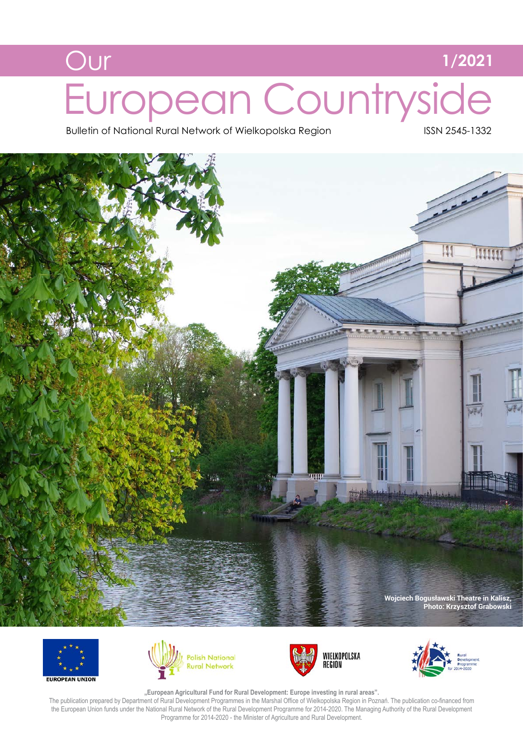# European Countryside Our **1/2021**

Bulletin of National Rural Network of Wielkopolska Region

ISSN 2545-1332











**"European Agricultural Fund for Rural Development: Europe investing in rural areas".**

The publication prepared by Department of Rural Development Programmes in the Marshal Office of Wielkopolska Region in Poznań. The publication co-financed from the European Union funds under the National Rural Network of the Rural Development Programme for 2014-2020. The Managing Authority of the Rural Development Programme for 2014-2020 - the Minister of Agriculture and Rural Development.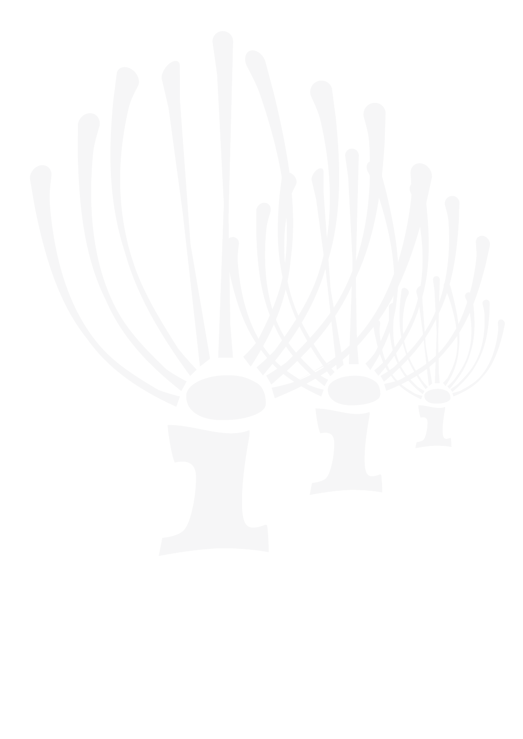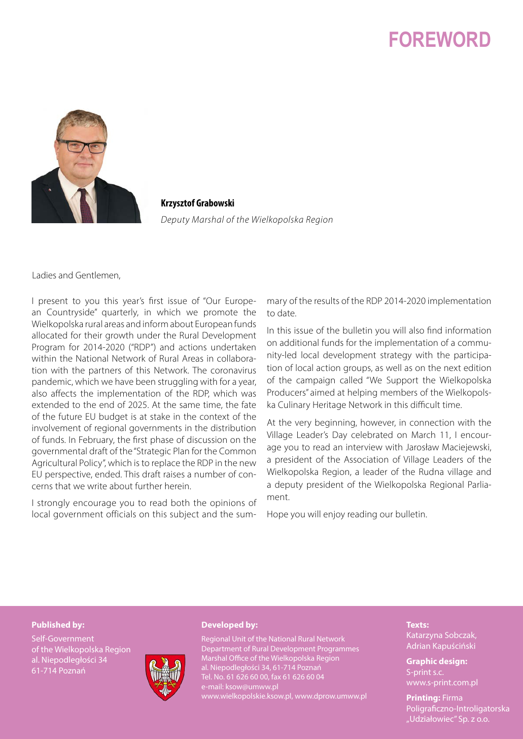### **FOREWORD**



#### **Krzysztof Grabowski**

*Deputy Marshal of the Wielkopolska Region*

Ladies and Gentlemen,

I present to you this year's first issue of "Our European Countryside" quarterly, in which we promote the Wielkopolska rural areas and inform about European funds allocated for their growth under the Rural Development Program for 2014-2020 ("RDP") and actions undertaken within the National Network of Rural Areas in collaboration with the partners of this Network. The coronavirus pandemic, which we have been struggling with for a year, also affects the implementation of the RDP, which was extended to the end of 2025. At the same time, the fate of the future EU budget is at stake in the context of the involvement of regional governments in the distribution of funds. In February, the first phase of discussion on the governmental draft of the "Strategic Plan for the Common Agricultural Policy", which is to replace the RDP in the new EU perspective, ended. This draft raises a number of concerns that we write about further herein.

I strongly encourage you to read both the opinions of local government officials on this subject and the summary of the results of the RDP 2014-2020 implementation to date.

In this issue of the bulletin you will also find information on additional funds for the implementation of a community-led local development strategy with the participation of local action groups, as well as on the next edition of the campaign called "We Support the Wielkopolska Producers" aimed at helping members of the Wielkopolska Culinary Heritage Network in this difficult time.

At the very beginning, however, in connection with the Village Leader's Day celebrated on March 11, I encourage you to read an interview with Jarosław Maciejewski, a president of the Association of Village Leaders of the Wielkopolska Region, a leader of the Rudna village and a deputy president of the Wielkopolska Regional Parliament.

Hope you will enjoy reading our bulletin.

#### **Published by:**

Self-Government of the Wielkopolska Region al. Niepodległości 34 61-714 Poznań



#### **Developed by:**

Regional Unit of the National Rural Network Department of Rural Development Programmes Marshal Office of the Wielkopolska Region al. Niepodległości 34, 61-714 Poznań Tel. No. 61 626 60 00, fax 61 626 60 04 www.wielkopolskie.ksow.pl, www.dprow.umww.pl

#### **Texts:**

Katarzyna Sobczak, Adrian Kapuściński

**Graphic design:** S-print s.c. www.s-print.com.pl

**Printing:** Firma Poligraficzno-Introligatorska "Udziałowiec" Sp. z o.o.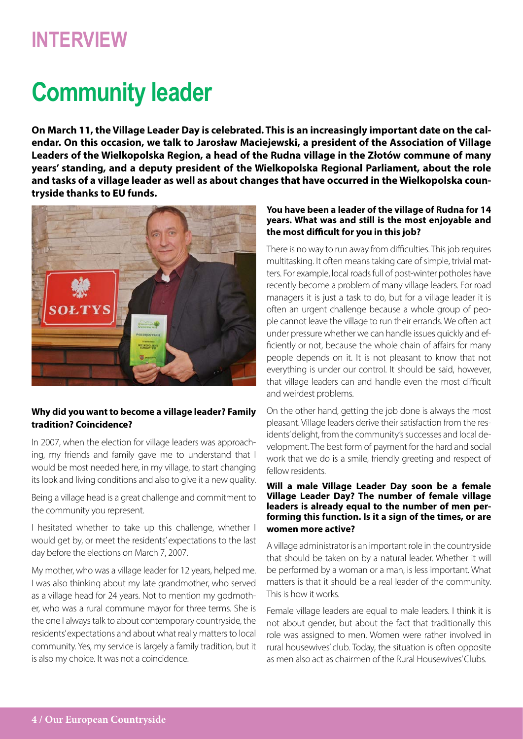### **INTERVIEW**

# **Community leader**

**On March 11, the Village Leader Day is celebrated. This is an increasingly important date on the calendar. On this occasion, we talk to Jarosław Maciejewski, a president of the Association of Village Leaders of the Wielkopolska Region, a head of the Rudna village in the Złotów commune of many years' standing, and a deputy president of the Wielkopolska Regional Parliament, about the role and tasks of a village leader as well as about changes that have occurred in the Wielkopolska countryside thanks to EU funds.**



#### **Why did you want to become a village leader? Family tradition? Coincidence?**

In 2007, when the election for village leaders was approaching, my friends and family gave me to understand that I would be most needed here, in my village, to start changing its look and living conditions and also to give it a new quality.

Being a village head is a great challenge and commitment to the community you represent.

I hesitated whether to take up this challenge, whether I would get by, or meet the residents' expectations to the last day before the elections on March 7, 2007.

My mother, who was a village leader for 12 years, helped me. I was also thinking about my late grandmother, who served as a village head for 24 years. Not to mention my godmother, who was a rural commune mayor for three terms. She is the one I always talk to about contemporary countryside, the residents' expectations and about what really matters to local community. Yes, my service is largely a family tradition, but it is also my choice. It was not a coincidence.

#### **You have been a leader of the village of Rudna for 14 years. What was and still is the most enjoyable and the most difficult for you in this job?**

There is no way to run away from difficulties. This job requires multitasking. It often means taking care of simple, trivial matters. For example, local roads full of post-winter potholes have recently become a problem of many village leaders. For road managers it is just a task to do, but for a village leader it is often an urgent challenge because a whole group of people cannot leave the village to run their errands. We often act under pressure whether we can handle issues quickly and efficiently or not, because the whole chain of affairs for many people depends on it. It is not pleasant to know that not everything is under our control. It should be said, however, that village leaders can and handle even the most difficult and weirdest problems.

On the other hand, getting the job done is always the most pleasant. Village leaders derive their satisfaction from the residents' delight, from the community's successes and local development. The best form of payment for the hard and social work that we do is a smile, friendly greeting and respect of fellow residents.

#### **Will a male Village Leader Day soon be a female Village Leader Day? The number of female village leaders is already equal to the number of men performing this function. Is it a sign of the times, or are women more active?**

A village administrator is an important role in the countryside that should be taken on by a natural leader. Whether it will be performed by a woman or a man, is less important. What matters is that it should be a real leader of the community. This is how it works.

Female village leaders are equal to male leaders. I think it is not about gender, but about the fact that traditionally this role was assigned to men. Women were rather involved in rural housewives' club. Today, the situation is often opposite as men also act as chairmen of the Rural Housewives' Clubs.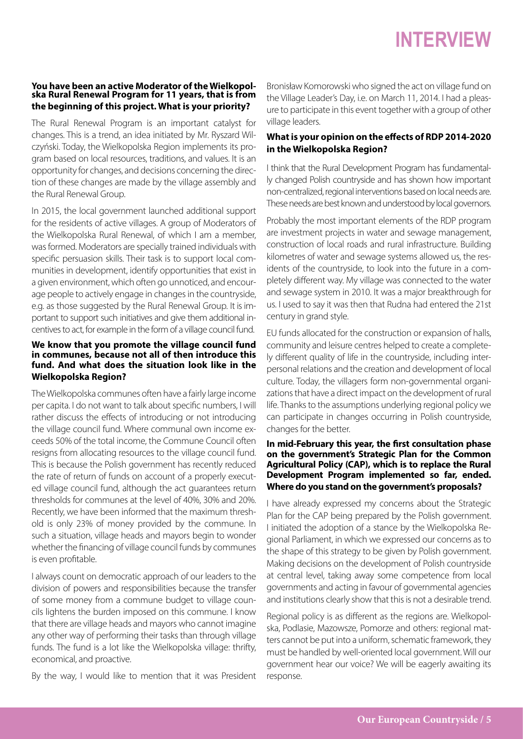### **INTERVIEW**

#### **You have been an active Moderator of the Wielkopol- ska Rural Renewal Program for 11 years, that is from the beginning of this project. What is your priority?**

The Rural Renewal Program is an important catalyst for changes. This is a trend, an idea initiated by Mr. Ryszard Wilczyński. Today, the Wielkopolska Region implements its program based on local resources, traditions, and values. It is an opportunity for changes, and decisions concerning the direction of these changes are made by the village assembly and the Rural Renewal Group.

In 2015, the local government launched additional support for the residents of active villages. A group of Moderators of the Wielkopolska Rural Renewal, of which I am a member, was formed. Moderators are specially trained individuals with specific persuasion skills. Their task is to support local communities in development, identify opportunities that exist in a given environment, which often go unnoticed, and encourage people to actively engage in changes in the countryside, e.g. as those suggested by the Rural Renewal Group. It is important to support such initiatives and give them additional incentives to act, for example in the form of a village council fund.

#### **We know that you promote the village council fund in communes, because not all of then introduce this fund. And what does the situation look like in the Wielkopolska Region?**

The Wielkopolska communes often have a fairly large income per capita. I do not want to talk about specific numbers, I will rather discuss the effects of introducing or not introducing the village council fund. Where communal own income exceeds 50% of the total income, the Commune Council often resigns from allocating resources to the village council fund. This is because the Polish government has recently reduced the rate of return of funds on account of a properly executed village council fund, although the act guarantees return thresholds for communes at the level of 40%, 30% and 20%. Recently, we have been informed that the maximum threshold is only 23% of money provided by the commune. In such a situation, village heads and mayors begin to wonder whether the financing of village council funds by communes is even profitable.

I always count on democratic approach of our leaders to the division of powers and responsibilities because the transfer of some money from a commune budget to village councils lightens the burden imposed on this commune. I know that there are village heads and mayors who cannot imagine any other way of performing their tasks than through village funds. The fund is a lot like the Wielkopolska village: thrifty, economical, and proactive.

By the way, I would like to mention that it was President

Bronisław Komorowski who signed the act on village fund on the Village Leader's Day, i.e. on March 11, 2014. I had a pleasure to participate in this event together with a group of other village leaders.

#### **What is your opinion on the effects of RDP 2014-2020 in the Wielkopolska Region?**

I think that the Rural Development Program has fundamentally changed Polish countryside and has shown how important non-centralized, regional interventions based on local needs are. These needs are best known and understood by local governors.

Probably the most important elements of the RDP program are investment projects in water and sewage management, construction of local roads and rural infrastructure. Building kilometres of water and sewage systems allowed us, the residents of the countryside, to look into the future in a completely different way. My village was connected to the water and sewage system in 2010. It was a major breakthrough for us. I used to say it was then that Rudna had entered the 21st century in grand style.

EU funds allocated for the construction or expansion of halls, community and leisure centres helped to create a completely different quality of life in the countryside, including interpersonal relations and the creation and development of local culture. Today, the villagers form non-governmental organizations that have a direct impact on the development of rural life. Thanks to the assumptions underlying regional policy we can participate in changes occurring in Polish countryside, changes for the better.

#### **In mid-February this year, the first consultation phase on the government's Strategic Plan for the Common Agricultural Policy (CAP), which is to replace the Rural Development Program implemented so far, ended. Where do you stand on the government's proposals?**

I have already expressed my concerns about the Strategic Plan for the CAP being prepared by the Polish government. I initiated the adoption of a stance by the Wielkopolska Regional Parliament, in which we expressed our concerns as to the shape of this strategy to be given by Polish government. Making decisions on the development of Polish countryside at central level, taking away some competence from local governments and acting in favour of governmental agencies and institutions clearly show that this is not a desirable trend.

Regional policy is as different as the regions are. Wielkopolska, Podlasie, Mazowsze, Pomorze and others: regional matters cannot be put into a uniform, schematic framework, they must be handled by well-oriented local government. Will our government hear our voice? We will be eagerly awaiting its response.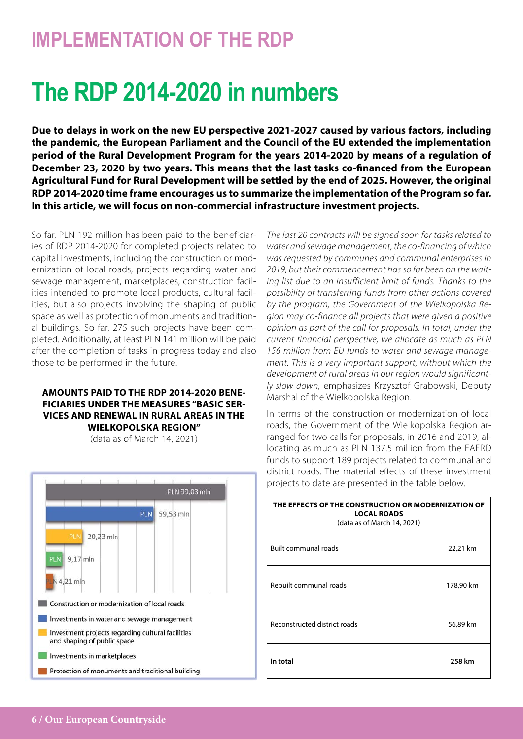### **IMPLEMENTATION OF THE RDP**

# **The RDP 2014-2020 in numbers**

**Due to delays in work on the new EU perspective 2021-2027 caused by various factors, including the pandemic, the European Parliament and the Council of the EU extended the implementation period of the Rural Development Program for the years 2014-2020 by means of a regulation of December 23, 2020 by two years. This means that the last tasks co-financed from the European Agricultural Fund for Rural Development will be settled by the end of 2025. However, the original RDP 2014-2020 time frame encourages us to summarize the implementation of the Program so far. In this article, we will focus on non-commercial infrastructure investment projects.**

So far, PLN 192 million has been paid to the beneficiaries of RDP 2014-2020 for completed projects related to capital investments, including the construction or modernization of local roads, projects regarding water and sewage management, marketplaces, construction facilities intended to promote local products, cultural facilities, but also projects involving the shaping of public space as well as protection of monuments and traditional buildings. So far, 275 such projects have been completed. Additionally, at least PLN 141 million will be paid after the completion of tasks in progress today and also those to be performed in the future.

#### **AMOUNTS PAID TO THE RDP 2014-2020 BENE-FICIARIES UNDER THE MEASURES "BASIC SER-VICES AND RENEWAL IN RURAL AREAS IN THE WIELKOPOLSKA REGION"**

(data as of March 14, 2021)



*The last 20 contracts will be signed soon for tasks related to water and sewage management, the co-financing of which was requested by communes and communal enterprises in 2019, but their commencement has so far been on the waiting list due to an insufficient limit of funds. Thanks to the possibility of transferring funds from other actions covered by the program, the Government of the Wielkopolska Region may co-finance all projects that were given a positive opinion as part of the call for proposals. In total, under the current financial perspective, we allocate as much as PLN 156 million from EU funds to water and sewage management. This is a very important support, without which the development of rural areas in our region would significantly slow down,* emphasizes Krzysztof Grabowski, Deputy Marshal of the Wielkopolska Region.

In terms of the construction or modernization of local roads, the Government of the Wielkopolska Region arranged for two calls for proposals, in 2016 and 2019, allocating as much as PLN 137.5 million from the EAFRD funds to support 189 projects related to communal and district roads. The material effects of these investment projects to date are presented in the table below.

| THE EFFECTS OF THE CONSTRUCTION OR MODERNIZATION OF<br><b>LOCAL ROADS</b><br>(data as of March 14, 2021) |           |  |  |
|----------------------------------------------------------------------------------------------------------|-----------|--|--|
| Built communal roads                                                                                     | 22,21 km  |  |  |
| Rebuilt communal roads                                                                                   | 178,90 km |  |  |
| Reconstructed district roads                                                                             | 56,89 km  |  |  |
| In total                                                                                                 | 258 km    |  |  |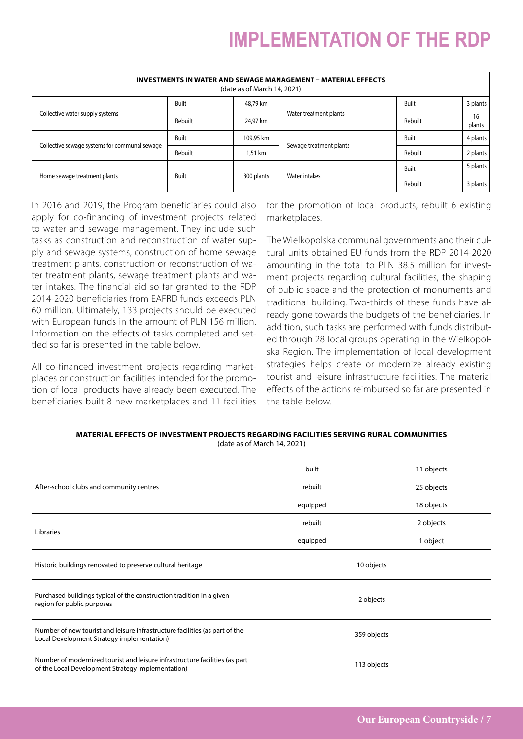### **IMPLEMENTATION OF THE RDP**

| <b>INVESTMENTS IN WATER AND SEWAGE MANAGEMENT - MATERIAL EFFECTS</b><br>(date as of March 14, 2021) |              |            |                         |              |              |  |  |  |
|-----------------------------------------------------------------------------------------------------|--------------|------------|-------------------------|--------------|--------------|--|--|--|
| Collective water supply systems                                                                     | Built        | 48,79 km   | Water treatment plants  | Built        | 3 plants     |  |  |  |
|                                                                                                     | Rebuilt      | 24.97 km   |                         | Rebuilt      | 16<br>plants |  |  |  |
| Collective sewage systems for communal sewage                                                       | <b>Built</b> | 109,95 km  | Sewage treatment plants | Built        | 4 plants     |  |  |  |
|                                                                                                     | Rebuilt      | 1,51 km    |                         | Rebuilt      | 2 plants     |  |  |  |
| Home sewage treatment plants                                                                        | <b>Built</b> | 800 plants | Water intakes           | <b>Built</b> | 5 plants     |  |  |  |
|                                                                                                     |              |            |                         | Rebuilt      | 3 plants     |  |  |  |

In 2016 and 2019, the Program beneficiaries could also apply for co-financing of investment projects related to water and sewage management. They include such tasks as construction and reconstruction of water supply and sewage systems, construction of home sewage treatment plants, construction or reconstruction of water treatment plants, sewage treatment plants and water intakes. The financial aid so far granted to the RDP 2014-2020 beneficiaries from EAFRD funds exceeds PLN 60 million. Ultimately, 133 projects should be executed with European funds in the amount of PLN 156 million. Information on the effects of tasks completed and settled so far is presented in the table below.

All co-financed investment projects regarding marketplaces or construction facilities intended for the promotion of local products have already been executed. The beneficiaries built 8 new marketplaces and 11 facilities for the promotion of local products, rebuilt 6 existing marketplaces.

The Wielkopolska communal governments and their cultural units obtained EU funds from the RDP 2014-2020 amounting in the total to PLN 38.5 million for investment projects regarding cultural facilities, the shaping of public space and the protection of monuments and traditional building. Two-thirds of these funds have already gone towards the budgets of the beneficiaries. In addition, such tasks are performed with funds distributed through 28 local groups operating in the Wielkopolska Region. The implementation of local development strategies helps create or modernize already existing tourist and leisure infrastructure facilities. The material effects of the actions reimbursed so far are presented in the table below.

| MATERIAL EFFECTS OF INVESTMENT PROJECTS REGARDING FACILITIES SERVING RURAL COMMUNITIES<br>(date as of March 14, 2021)            |             |            |  |  |  |
|----------------------------------------------------------------------------------------------------------------------------------|-------------|------------|--|--|--|
| After-school clubs and community centres                                                                                         | built       | 11 objects |  |  |  |
|                                                                                                                                  | rebuilt     | 25 objects |  |  |  |
|                                                                                                                                  | equipped    | 18 objects |  |  |  |
| Libraries                                                                                                                        | rebuilt     | 2 objects  |  |  |  |
|                                                                                                                                  | equipped    | 1 object   |  |  |  |
| Historic buildings renovated to preserve cultural heritage                                                                       | 10 objects  |            |  |  |  |
| Purchased buildings typical of the construction tradition in a given<br>region for public purposes                               | 2 objects   |            |  |  |  |
| Number of new tourist and leisure infrastructure facilities (as part of the<br>Local Development Strategy implementation)        | 359 objects |            |  |  |  |
| Number of modernized tourist and leisure infrastructure facilities (as part<br>of the Local Development Strategy implementation) | 113 objects |            |  |  |  |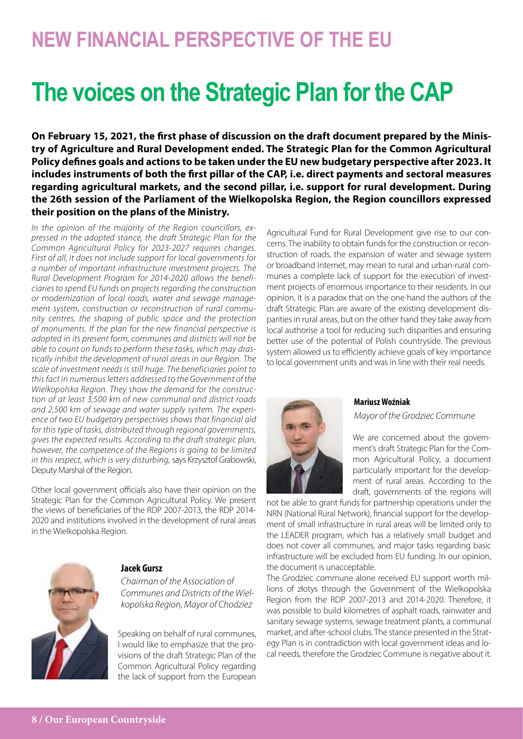### **NEW FINANCIAL PERSPECTIVE OF THE EU**

# **The voices on the Strategic Plan for the CAP**

**On February 15, 2021, the first phase of discussion on the draft document prepared by the Ministry of Agriculture and Rural Development ended. The Strategic Plan for the Common Agricultural Policy defines goals and actions to be taken under the EU new budgetary perspective after 2023. It includes instruments of both the first pillar of the CAP, i.e. direct payments and sectoral measures regarding agricultural markets, and the second pillar, i.e. support for rural development. During the 26th session of the Parliament of the Wielkopolska Region, the Region councillors expressed their position on the plans of the Ministry.**

*In the opinion of the majority of the Region councillors, expressed in the adopted stance, the draft Strategic Plan for the Common Agricultural Policy for 2023-2027 requires changes. First of all, it does not include support for local governments for a number of important infrastructure investment projects. The Rural Development Program for 2014-2020 allows the beneficiaries to spend EU funds on projects regarding the construction or modernization of local roads, water and sewage management system, construction or reconstruction of rural community centres, the shaping of public space and the protection of monuments. If the plan for the new financial perspective is adopted in its present form, communes and districts will not be able to count on funds to perform these tasks, which may drastically inhibit the development of rural areas in our Region. The scale of investment needs is still huge. The beneficiaries point to this fact in numerous letters addressed to the Government of the Wielkopolska Region. They show the demand for the construction of at least 3,500 km of new communal and district roads and 2,500 km of sewage and water supply system. The experience of two EU budgetary perspectives shows that financial aid for this type of tasks, distributed through regional governments, gives the expected results. According to the draft strategic plan, however, the competence of the Regions is going to be limited in this respect, which is very disturbing,* says Krzysztof Grabowski, Deputy Marshal of the Region.

Other local government officials also have their opinion on the Strategic Plan for the Common Agricultural Policy. We present the views of beneficiaries of the RDP 2007-2013, the RDP 2014- 2020 and institutions involved in the development of rural areas in the Wielkopolska Region.



#### **Jacek Gursz**

*Chairman of the Association of Communes and Districts of the Wielkopolska Region, Mayor of Chodzież*

Speaking on behalf of rural communes, I would like to emphasize that the provisions of the draft Strategic Plan of the Common Agricultural Policy regarding the lack of support from the European

Agricultural Fund for Rural Development give rise to our concerns. The inability to obtain funds for the construction or reconstruction of roads, the expansion of water and sewage system or broadband Internet, may mean to rural and urban-rural communes a complete lack of support for the execution of investment projects of enormous importance to their residents. In our opinion, it is a paradox that on the one hand the authors of the draft Strategic Plan are aware of the existing development disparities in rural areas, but on the other hand they take away from local authorise a tool for reducing such disparities and ensuring better use of the potential of Polish countryside. The previous system allowed us to efficiently achieve goals of key importance to local government units and was in line with their real needs.



#### **Mariusz Woźniak**

*Mayor of the Grodziec Commune*

We are concerned about the government's draft Strategic Plan for the Common Agricultural Policy, a document particularly important for the development of rural areas. According to the draft, governments of the regions will

not be able to grant funds for partnership operations under the NRN (National Rural Network), financial support for the development of small infrastructure in rural areas will be limited only to the LEADER program, which has a relatively small budget and does not cover all communes, and major tasks regarding basic infrastructure will be excluded from EU funding. In our opinion, the document is unacceptable.

The Grodziec commune alone received EU support worth millions of złotys through the Government of the Wielkopolska Region from the RDP 2007-2013 and 2014-2020. Therefore, it was possible to build kilometres of asphalt roads, rainwater and sanitary sewage systems, sewage treatment plants, a communal market, and after-school clubs. The stance presented in the Strategy Plan is in contradiction with local government ideas and local needs, therefore the Grodziec Commune is negative about it.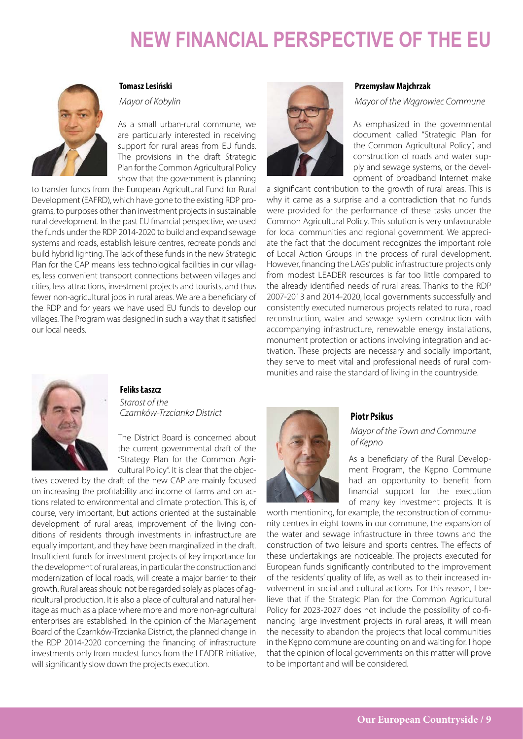### **NEW FINANCIAL PERSPECTIVE OF THE EU**



#### **Tomasz Lesiński**

*Mayor of Kobylin*

As a small urban-rural commune, we are particularly interested in receiving support for rural areas from EU funds. The provisions in the draft Strategic Plan for the Common Agricultural Policy show that the government is planning

to transfer funds from the European Agricultural Fund for Rural Development (EAFRD), which have gone to the existing RDP programs, to purposes other than investment projects in sustainable rural development. In the past EU financial perspective, we used the funds under the RDP 2014-2020 to build and expand sewage systems and roads, establish leisure centres, recreate ponds and build hybrid lighting. The lack of these funds in the new Strategic Plan for the CAP means less technological facilities in our villages, less convenient transport connections between villages and cities, less attractions, investment projects and tourists, and thus fewer non-agricultural jobs in rural areas. We are a beneficiary of the RDP and for years we have used EU funds to develop our villages. The Program was designed in such a way that it satisfied our local needs.



#### **Przemysław Majchrzak**

*Mayor of the Wągrowiec Commune*

As emphasized in the governmental document called "Strategic Plan for the Common Agricultural Policy", and construction of roads and water supply and sewage systems, or the development of broadband Internet make

a significant contribution to the growth of rural areas. This is why it came as a surprise and a contradiction that no funds were provided for the performance of these tasks under the Common Agricultural Policy. This solution is very unfavourable for local communities and regional government. We appreciate the fact that the document recognizes the important role of Local Action Groups in the process of rural development. However, financing the LAGs' public infrastructure projects only from modest LEADER resources is far too little compared to the already identified needs of rural areas. Thanks to the RDP 2007-2013 and 2014-2020, local governments successfully and consistently executed numerous projects related to rural, road reconstruction, water and sewage system construction with accompanying infrastructure, renewable energy installations, monument protection or actions involving integration and activation. These projects are necessary and socially important, they serve to meet vital and professional needs of rural communities and raise the standard of living in the countryside.



#### **Feliks Łaszcz**

*Starost of the Czarnków-Trzcianka District*

The District Board is concerned about the current governmental draft of the "Strategy Plan for the Common Agricultural Policy". It is clear that the objec-

tives covered by the draft of the new CAP are mainly focused on increasing the profitability and income of farms and on actions related to environmental and climate protection. This is, of course, very important, but actions oriented at the sustainable development of rural areas, improvement of the living conditions of residents through investments in infrastructure are equally important, and they have been marginalized in the draft. Insufficient funds for investment projects of key importance for the development of rural areas, in particular the construction and modernization of local roads, will create a major barrier to their growth. Rural areas should not be regarded solely as places of agricultural production. It is also a place of cultural and natural heritage as much as a place where more and more non-agricultural enterprises are established. In the opinion of the Management Board of the Czarnków-Trzcianka District, the planned change in the RDP 2014-2020 concerning the financing of infrastructure investments only from modest funds from the LEADER initiative, will significantly slow down the projects execution.



#### **Piotr Psikus**

*Mayor of the Town and Commune of Kępno*

As a beneficiary of the Rural Development Program, the Kępno Commune had an opportunity to benefit from financial support for the execution of many key investment projects. It is

worth mentioning, for example, the reconstruction of community centres in eight towns in our commune, the expansion of the water and sewage infrastructure in three towns and the construction of two leisure and sports centres. The effects of these undertakings are noticeable. The projects executed for European funds significantly contributed to the improvement of the residents' quality of life, as well as to their increased involvement in social and cultural actions. For this reason, I believe that if the Strategic Plan for the Common Agricultural Policy for 2023-2027 does not include the possibility of co-financing large investment projects in rural areas, it will mean the necessity to abandon the projects that local communities in the Kępno commune are counting on and waiting for. I hope that the opinion of local governments on this matter will prove to be important and will be considered.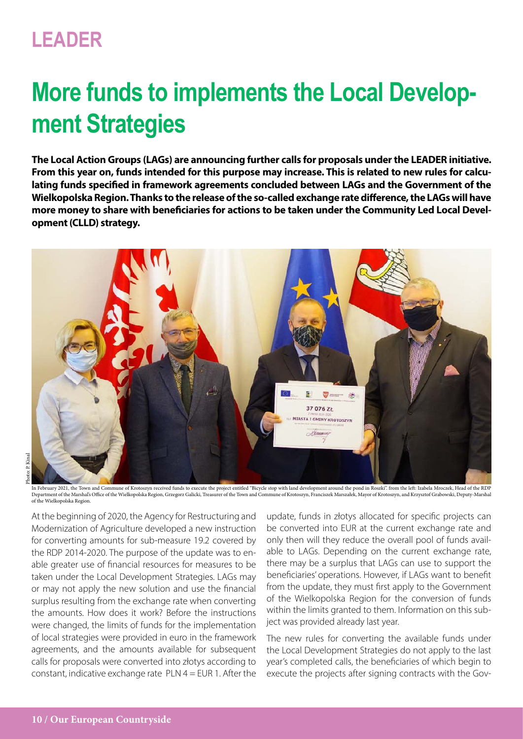### **LEADER**

# **More funds to implements the Local Development Strategies**

**The Local Action Groups (LAGs) are announcing further calls for proposals under the LEADER initiative. From this year on, funds intended for this purpose may increase. This is related to new rules for calculating funds specified in framework agreements concluded between LAGs and the Government of the Wielkopolska Region. Thanks to the release of the so-called exchange rate difference, the LAGs will have more money to share with beneficiaries for actions to be taken under the Community Led Local Development (CLLD) strategy.**



In February 2021, the Town and Commune of Krotoszyn received funds to execute the project entiled "Bicycle stop with land development around the pond in Roszki". from the left: Izabela Mroczek, Head of the RDP<br>Department o of the Wielkopolska Region.

At the beginning of 2020, the Agency for Restructuring and Modernization of Agriculture developed a new instruction for converting amounts for sub-measure 19.2 covered by the RDP 2014-2020. The purpose of the update was to enable greater use of financial resources for measures to be taken under the Local Development Strategies. LAGs may or may not apply the new solution and use the financial surplus resulting from the exchange rate when converting the amounts. How does it work? Before the instructions were changed, the limits of funds for the implementation of local strategies were provided in euro in the framework agreements, and the amounts available for subsequent calls for proposals were converted into złotys according to constant, indicative exchange rate  $PLN$  4 = EUR 1. After the

update, funds in złotys allocated for specific projects can be converted into EUR at the current exchange rate and only then will they reduce the overall pool of funds available to LAGs. Depending on the current exchange rate, there may be a surplus that LAGs can use to support the beneficiaries' operations. However, if LAGs want to benefit from the update, they must first apply to the Government of the Wielkopolska Region for the conversion of funds within the limits granted to them. Information on this subject was provided already last year.

The new rules for converting the available funds under the Local Development Strategies do not apply to the last year's completed calls, the beneficiaries of which begin to execute the projects after signing contracts with the Gov-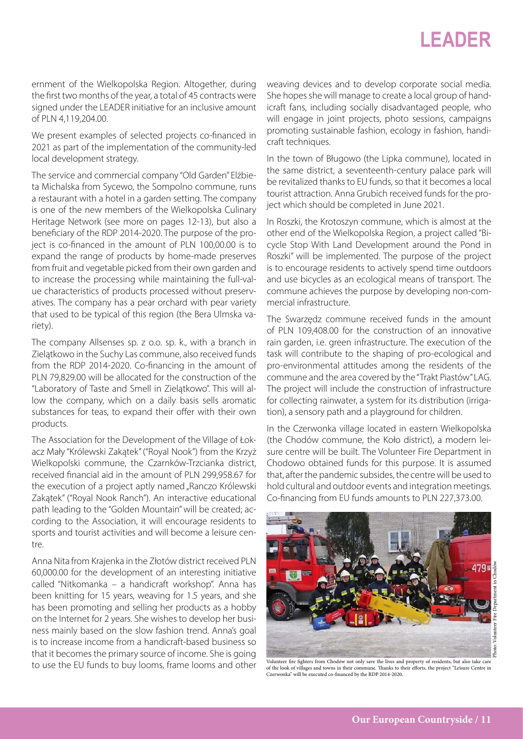### **LEADER**

ernment of the Wielkopolska Region. Altogether, during the first two months of the year, a total of 45 contracts were signed under the LEADER initiative for an inclusive amount of PLN 4,119,204.00.

We present examples of selected projects co-financed in 2021 as part of the implementation of the community-led local development strategy.

The service and commercial company "Old Garden" Elżbieta Michalska from Sycewo, the Sompolno commune, runs a restaurant with a hotel in a garden setting. The company is one of the new members of the Wielkopolska Culinary Heritage Network (see more on pages 12-13), but also a beneficiary of the RDP 2014-2020. The purpose of the project is co-financed in the amount of PLN 100,00.00 is to expand the range of products by home-made preserves from fruit and vegetable picked from their own garden and to increase the processing while maintaining the full-value characteristics of products processed without preservatives. The company has a pear orchard with pear variety that used to be typical of this region (the Bera Ulmska variety).

The company Allsenses sp. z o.o. sp. k., with a branch in Zielątkowo in the Suchy Las commune, also received funds from the RDP 2014-2020. Co-financing in the amount of PLN 79,829.00 will be allocated for the construction of the "Laboratory of Taste and Smell in Zielątkowo". This will allow the company, which on a daily basis sells aromatic substances for teas, to expand their offer with their own products.

The Association for the Development of the Village of Łokacz Mały "Królewski Zakątek" ("Royal Nook") from the Krzyż Wielkopolski commune, the Czarnków-Trzcianka district, received financial aid in the amount of PLN 299,958.67 for the execution of a project aptly named "Ranczo Królewski Zakątek" ("Royal Nook Ranch"). An interactive educational path leading to the "Golden Mountain" will be created; according to the Association, it will encourage residents to sports and tourist activities and will become a leisure centre.

Anna Nita from Krajenka in the Złotów district received PLN 60,000.00 for the development of an interesting initiative called "Nitkomanka – a handicraft workshop". Anna has been knitting for 15 years, weaving for 1.5 years, and she has been promoting and selling her products as a hobby on the Internet for 2 years. She wishes to develop her business mainly based on the slow fashion trend. Anna's goal is to increase income from a handicraft-based business so that it becomes the primary source of income. She is going to use the EU funds to buy looms, frame looms and other

weaving devices and to develop corporate social media. She hopes she will manage to create a local group of handicraft fans, including socially disadvantaged people, who will engage in joint projects, photo sessions, campaigns promoting sustainable fashion, ecology in fashion, handicraft techniques.

In the town of Bługowo (the Lipka commune), located in the same district, a seventeenth-century palace park will be revitalized thanks to EU funds, so that it becomes a local tourist attraction. Anna Grubich received funds for the project which should be completed in June 2021.

In Roszki, the Krotoszyn commune, which is almost at the other end of the Wielkopolska Region, a project called "Bicycle Stop With Land Development around the Pond in Roszki" will be implemented. The purpose of the project is to encourage residents to actively spend time outdoors and use bicycles as an ecological means of transport. The commune achieves the purpose by developing non-commercial infrastructure.

The Swarzędz commune received funds in the amount of PLN 109,408.00 for the construction of an innovative rain garden, i.e. green infrastructure. The execution of the task will contribute to the shaping of pro-ecological and pro-environmental attitudes among the residents of the commune and the area covered by the "Trakt Piastów" LAG. The project will include the construction of infrastructure for collecting rainwater, a system for its distribution (irrigation), a sensory path and a playground for children.

In the Czerwonka village located in eastern Wielkopolska (the Chodów commune, the Koło district), a modern leisure centre will be built. The Volunteer Fire Department in Chodowo obtained funds for this purpose. It is assumed that, after the pandemic subsides, the centre will be used to hold cultural and outdoor events and integration meetings. Co-financing from EU funds amounts to PLN 227,373.00.



Volunteer fire fighters from Chodów not only save the lives and property of residents, but also take care of the look of villages and towns in their commune. Thanks to their efforts, the project "Leisure Centre in Czerwonka" will be executed co-financed by the RDP 2014-2020.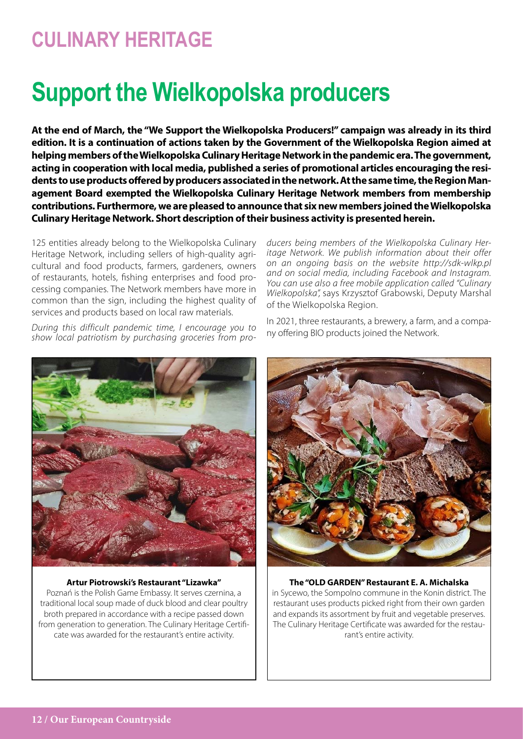### **CULINARY HERITAGE**

# **Support the Wielkopolska producers**

**At the end of March, the "We Support the Wielkopolska Producers!" campaign was already in its third edition. It is a continuation of actions taken by the Government of the Wielkopolska Region aimed at helping members of the Wielkopolska Culinary Heritage Network in the pandemic era. The government, acting in cooperation with local media, published a series of promotional articles encouraging the residents to use products offered by producers associated in the network. At the same time, the Region Management Board exempted the Wielkopolska Culinary Heritage Network members from membership contributions. Furthermore, we are pleased to announce that six new members joined the Wielkopolska Culinary Heritage Network. Short description of their business activity is presented herein.**

125 entities already belong to the Wielkopolska Culinary Heritage Network, including sellers of high-quality agricultural and food products, farmers, gardeners, owners of restaurants, hotels, fishing enterprises and food processing companies. The Network members have more in common than the sign, including the highest quality of services and products based on local raw materials.

*During this difficult pandemic time, I encourage you to show local patriotism by purchasing groceries from pro-* *ducers being members of the Wielkopolska Culinary Heritage Network. We publish information about their offer on an ongoing basis on the website http://sdk-wlkp.pl and on social media, including Facebook and Instagram. You can use also a free mobile application called "Culinary Wielkopolska",* says Krzysztof Grabowski, Deputy Marshal of the Wielkopolska Region.

In 2021, three restaurants, a brewery, a farm, and a company offering BIO products joined the Network.



**Artur Piotrowski's Restaurant "Lizawka"** Poznań is the Polish Game Embassy. It serves czernina, a traditional local soup made of duck blood and clear poultry broth prepared in accordance with a recipe passed down from generation to generation. The Culinary Heritage Certificate was awarded for the restaurant's entire activity.



**The "OLD GARDEN" Restaurant E. A. Michalska** in Sycewo, the Sompolno commune in the Konin district. The restaurant uses products picked right from their own garden and expands its assortment by fruit and vegetable preserves. The Culinary Heritage Certificate was awarded for the restaurant's entire activity.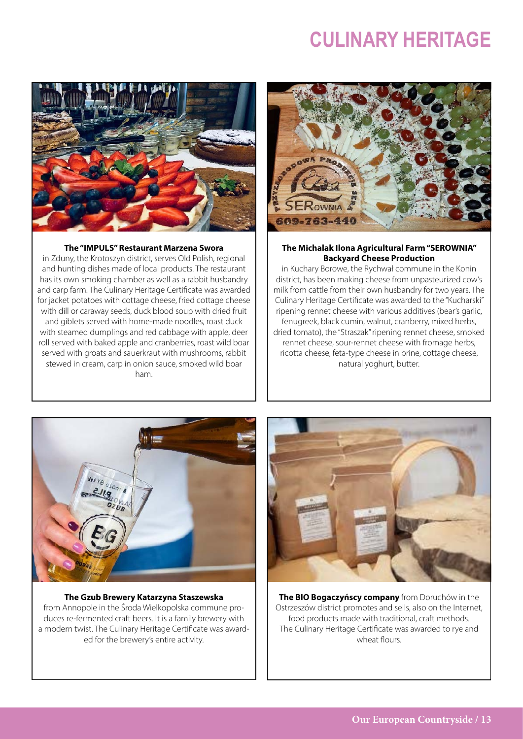### **CULINARY HERITAGE**



#### **The "IMPULS" Restaurant Marzena Swora**

in Zduny, the Krotoszyn district, serves Old Polish, regional and hunting dishes made of local products. The restaurant has its own smoking chamber as well as a rabbit husbandry and carp farm. The Culinary Heritage Certificate was awarded for jacket potatoes with cottage cheese, fried cottage cheese with dill or caraway seeds, duck blood soup with dried fruit and giblets served with home-made noodles, roast duck with steamed dumplings and red cabbage with apple, deer roll served with baked apple and cranberries, roast wild boar served with groats and sauerkraut with mushrooms, rabbit stewed in cream, carp in onion sauce, smoked wild boar ham.



#### **The Michalak Ilona Agricultural Farm "SEROWNIA" Backyard Cheese Production**

in Kuchary Borowe, the Rychwał commune in the Konin district, has been making cheese from unpasteurized cow's milk from cattle from their own husbandry for two years. The Culinary Heritage Certificate was awarded to the "Kucharski" ripening rennet cheese with various additives (bear's garlic, fenugreek, black cumin, walnut, cranberry, mixed herbs, dried tomato), the "Straszak" ripening rennet cheese, smoked rennet cheese, sour-rennet cheese with fromage herbs, ricotta cheese, feta-type cheese in brine, cottage cheese, natural yoghurt, butter.



#### **The Gzub Brewery Katarzyna Staszewska**

from Annopole in the Środa Wielkopolska commune produces re-fermented craft beers. It is a family brewery with a modern twist. The Culinary Heritage Certificate was awarded for the brewery's entire activity.



**The BIO Bogaczyńscy company** from Doruchów in the Ostrzeszów district promotes and sells, also on the Internet, food products made with traditional, craft methods. The Culinary Heritage Certificate was awarded to rye and wheat flours.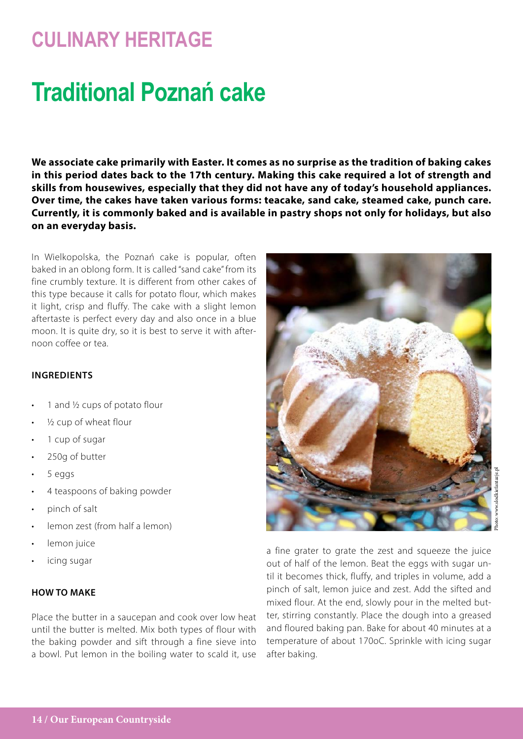### **CULINARY HERITAGE**

# **Traditional Poznań cake**

**We associate cake primarily with Easter. It comes as no surprise as the tradition of baking cakes in this period dates back to the 17th century. Making this cake required a lot of strength and skills from housewives, especially that they did not have any of today's household appliances. Over time, the cakes have taken various forms: teacake, sand cake, steamed cake, punch care. Currently, it is commonly baked and is available in pastry shops not only for holidays, but also on an everyday basis.**

In Wielkopolska, the Poznań cake is popular, often baked in an oblong form. It is called "sand cake" from its fine crumbly texture. It is different from other cakes of this type because it calls for potato flour, which makes it light, crisp and fluffy. The cake with a slight lemon aftertaste is perfect every day and also once in a blue moon. It is quite dry, so it is best to serve it with afternoon coffee or tea.

#### **INGREDIENTS**

- 1 and  $\frac{1}{2}$  cups of potato flour
- $\frac{1}{2}$  cup of wheat flour
- 1 cup of sugar
- 250g of butter
- 5 eggs
- 4 teaspoons of baking powder
- pinch of salt
- lemon zest (from half a lemon)
- lemon juice
- icing sugar

#### **HOW TO MAKE**

Place the butter in a saucepan and cook over low heat until the butter is melted. Mix both types of flour with the baking powder and sift through a fine sieve into a bowl. Put lemon in the boiling water to scald it, use



Photo: www.slodkiefantazje.pl

a fine grater to grate the zest and squeeze the juice out of half of the lemon. Beat the eggs with sugar until it becomes thick, fluffy, and triples in volume, add a pinch of salt, lemon juice and zest. Add the sifted and mixed flour. At the end, slowly pour in the melted butter, stirring constantly. Place the dough into a greased and floured baking pan. Bake for about 40 minutes at a temperature of about 170oC. Sprinkle with icing sugar after baking.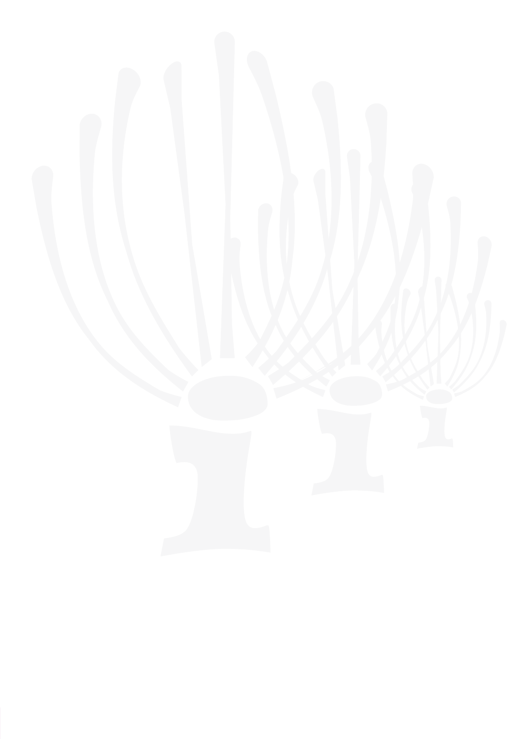